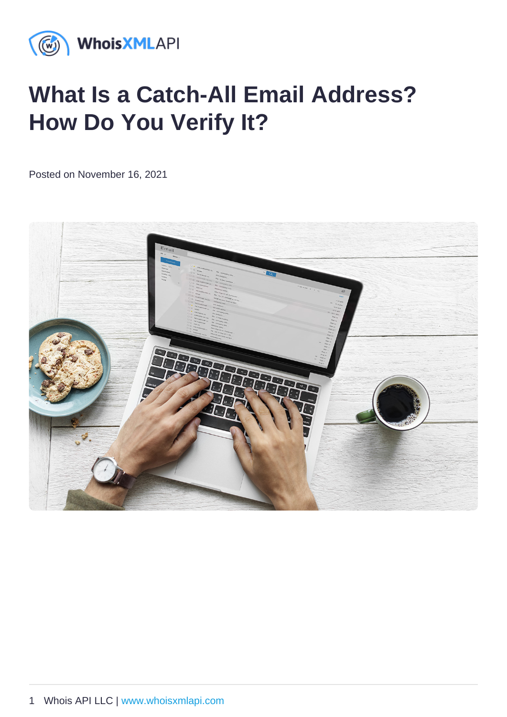# What Is a Catch-All Email Address? How Do You Verify It?

Posted on November 16, 2021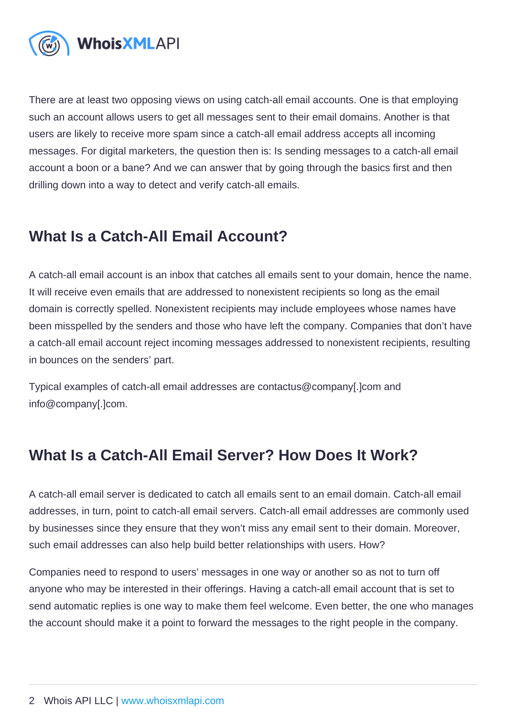There are at least two opposing views on using catch-all email accounts. One is that employing such an account allows users to get all messages sent to their email domains. Another is that users are likely to receive more spam since a catch-all email address accepts all incoming messages. For digital marketers, the question then is: Is sending messages to a catch-all email account a boon or a bane? And we can answer that by going through the basics first and then drilling down into a way to detect and verify catch-all emails.

#### What Is a Catch-All Email Account?

A catch-all email account is an inbox that catches all emails sent to your domain, hence the name. It will receive even emails that are addressed to nonexistent recipients so long as the email domain is correctly spelled. Nonexistent recipients may include employees whose names have been misspelled by the senders and those who have left the company. Companies that don't have a catch-all email account reject incoming messages addressed to nonexistent recipients, resulting in bounces on the senders' part.

Typical examples of catch-all email addresses are contactus@company[.]com and info@company[.]com.

#### What Is a Catch-All Email Server? How Does It Work?

A catch-all email server is dedicated to catch all emails sent to an email domain. Catch-all email addresses, in turn, point to catch-all email servers. Catch-all email addresses are commonly used by businesses since they ensure that they won't miss any email sent to their domain. Moreover, such email addresses can also help build better relationships with users. How?

Companies need to respond to users' messages in one way or another so as not to turn off anyone who may be interested in their offerings. Having a catch-all email account that is set to send automatic replies is one way to make them feel welcome. Even better, the one who manages the account should make it a point to forward the messages to the right people in the company.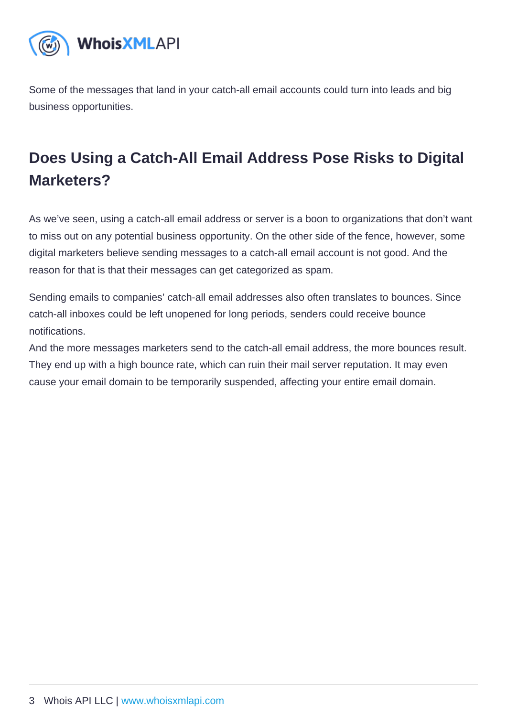Some of the messages that land in your catch-all email accounts could turn into leads and big business opportunities.

## Does Using a Catch-All Email Address Pose Risks to Digital Marketers?

As we've seen, using a catch-all email address or server is a boon to organizations that don't want to miss out on any potential business opportunity. On the other side of the fence, however, some digital marketers believe sending messages to a catch-all email account is not good. And the reason for that is that their messages can get categorized as spam.

Sending emails to companies' catch-all email addresses also often translates to bounces. Since catch-all inboxes could be left unopened for long periods, senders could receive bounce notifications.

And the more messages marketers send to the catch-all email address, the more bounces result. They end up with a high bounce rate, which can ruin their mail server reputation. It may even cause your email domain to be temporarily suspended, affecting your entire email domain.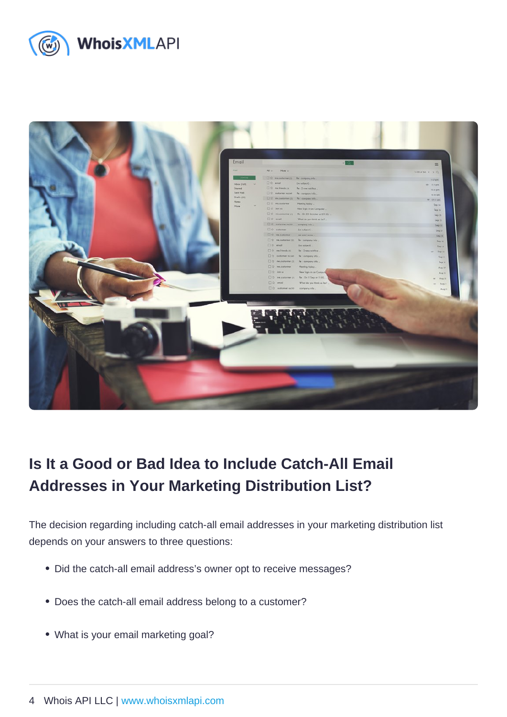## Is It a Good or Bad Idea to Include Catch-All Email Addresses in Your Marketing Distribution List?

The decision regarding including catch-all email addresses in your marketing distribution list depends on your answers to three questions:

- Did the catch-all email address's owner opt to receive messages?
- Does the catch-all email address belong to a customer?
- What is your email marketing goal?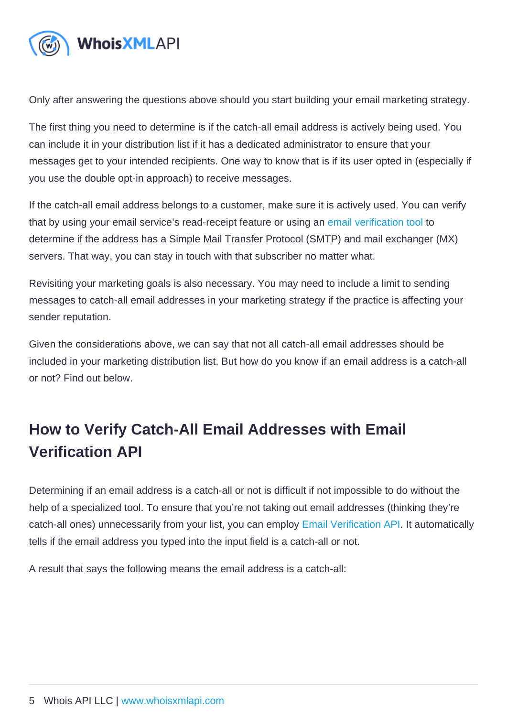Only after answering the questions above should you start building your email marketing strategy.

The first thing you need to determine is if the catch-all email address is actively being used. You can include it in your distribution list if it has a dedicated administrator to ensure that your messages get to your intended recipients. One way to know that is if its user opted in (especially if you use the double opt-in approach) to receive messages.

If the catch-all email address belongs to a customer, make sure it is actively used. You can verify that by using your email service's read-receipt feature or using an [email verification tool](https://emailverification.whoisxmlapi.com/) to determine if the address has a Simple Mail Transfer Protocol (SMTP) and mail exchanger (MX) servers. That way, you can stay in touch with that subscriber no matter what.

Revisiting your marketing goals is also necessary. You may need to include a limit to sending messages to catch-all email addresses in your marketing strategy if the practice is affecting your sender reputation.

Given the considerations above, we can say that not all catch-all email addresses should be included in your marketing distribution list. But how do you know if an email address is a catch-all or not? Find out below.

## How to Verify Catch-All Email Addresses with Email Verification API

Determining if an email address is a catch-all or not is difficult if not impossible to do without the help of a specialized tool. To ensure that you're not taking out email addresses (thinking they're catch-all ones) unnecessarily from your list, you can employ [Email Verification API](https://emailverification.whoisxmlapi.com/api). It automatically tells if the email address you typed into the input field is a catch-all or not.

A result that says the following means the email address is a catch-all: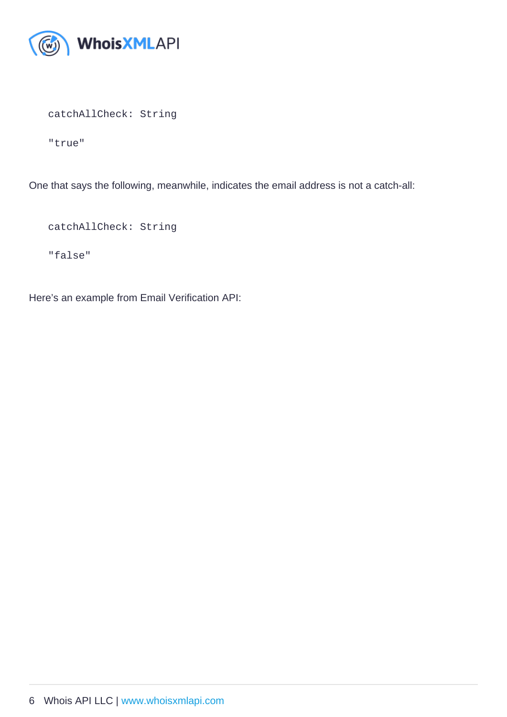catchAllCheck: String

"true"

One that says the following, meanwhile, indicates the email address is not a catch-all:

catchAllCheck: String

"false"

Here's an example from Email Verification API: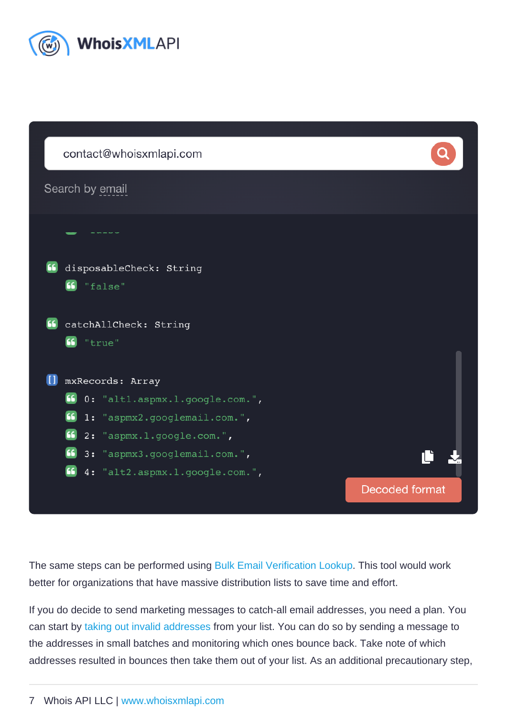The same steps can be performed using [Bulk Email Verification Lookup](https://emailverification.whoisxmlapi.com/bulk-tool). This tool would work better for organizations that have massive distribution lists to save time and effort.

If you do decide to send marketing messages to catch-all email addresses, you need a plan. You can start by [taking out invalid addresses](https://emailverification.whoisxmlapi.com/blog/how-to-clean-your-email-list-with-the-help-of-email-verification-software) from your list. You can do so by sending a message to the addresses in small batches and monitoring which ones bounce back. Take note of which addresses resulted in bounces then take them out of your list. As an additional precautionary step,